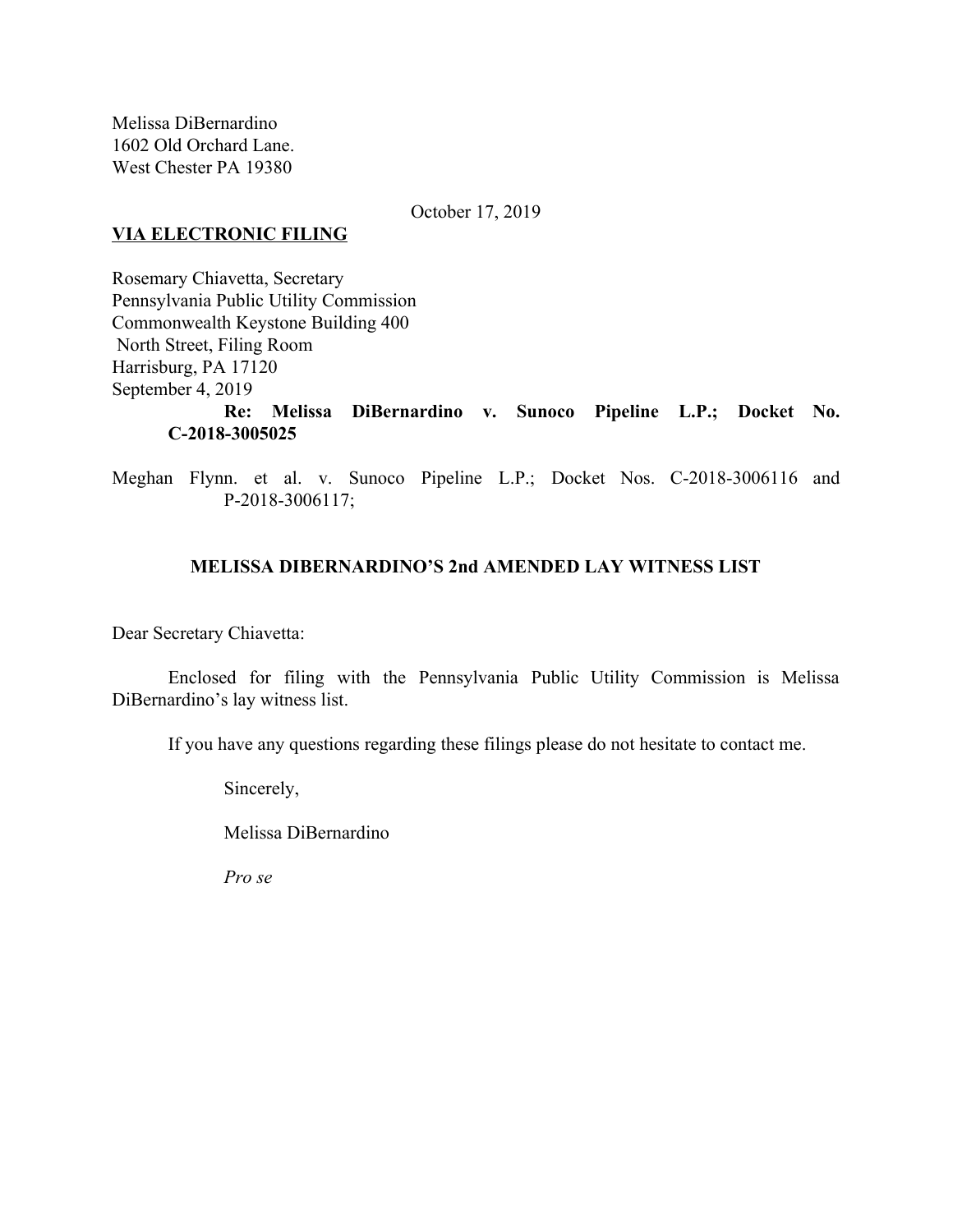Melissa DiBernardino 1602 Old Orchard Lane. West Chester PA 19380

October 17, 2019

## **VIA ELECTRONIC FILING**

Rosemary Chiavetta, Secretary Pennsylvania Public Utility Commission Commonwealth Keystone Building 400 North Street, Filing Room Harrisburg, PA 17120 September 4, 2019 **Re: Melissa DiBernardino v. Sunoco Pipeline L.P.; Docket No. C-2018-3005025**

Meghan Flynn. et al. v. Sunoco Pipeline L.P.; Docket Nos. C-2018-3006116 and P-2018-3006117;

# **MELISSA DIBERNARDINO'S 2nd AMENDED LAY WITNESS LIST**

Dear Secretary Chiavetta:

Enclosed for filing with the Pennsylvania Public Utility Commission is Melissa DiBernardino's lay witness list.

If you have any questions regarding these filings please do not hesitate to contact me.

Sincerely,

Melissa DiBernardino

*Pro se*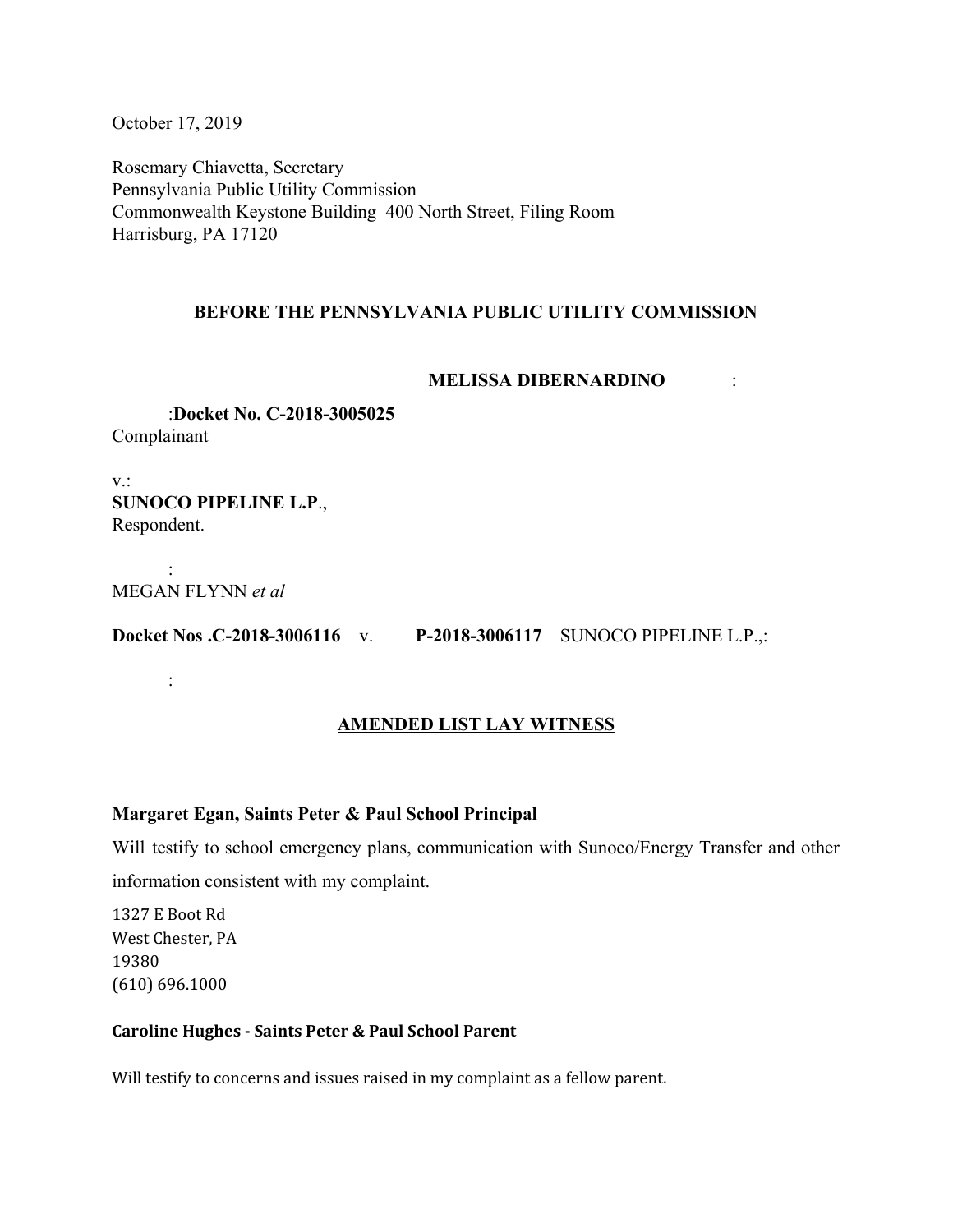October 17, 2019

Rosemary Chiavetta, Secretary Pennsylvania Public Utility Commission Commonwealth Keystone Building 400 North Street, Filing Room Harrisburg, PA 17120

# **BEFORE THE PENNSYLVANIA PUBLIC UTILITY COMMISSION**

### **MELISSA DIBERNARDINO** :

:**Docket No. C-2018-3005025** Complainant

v.: **SUNOCO PIPELINE L.P**., Respondent.

: MEGAN FLYNN *et al*

:

**Docket Nos .C-2018-3006116** v. **P-2018-3006117** SUNOCO PIPELINE L.P.,:

# **AMENDED LIST LAY WITNESS**

### **Margaret Egan, Saints Peter & Paul School Principal**

Will testify to school emergency plans, communication with Sunoco/Energy Transfer and other information consistent with my complaint.

1327 E Boot Rd West Chester, PA 19380 (610) 696.1000

### **Caroline Hughes - Saints Peter & Paul School Parent**

Will testify to concerns and issues raised in my complaint as a fellow parent.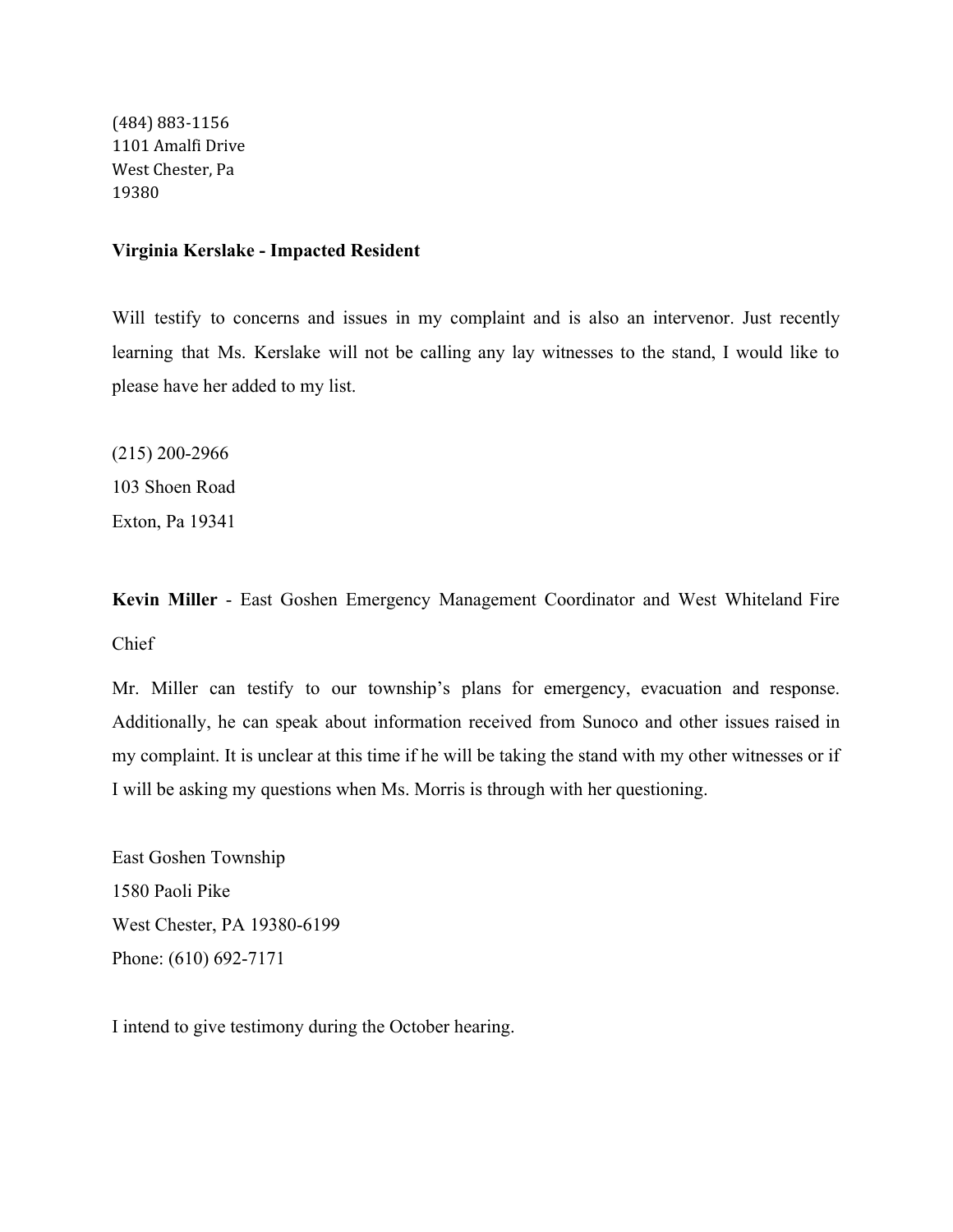(484) 883-1156 1101 Amalfi Drive West Chester, Pa 19380

#### **Virginia Kerslake - Impacted Resident**

Will testify to concerns and issues in my complaint and is also an intervenor. Just recently learning that Ms. Kerslake will not be calling any lay witnesses to the stand, I would like to please have her added to my list.

(215) 200-2966 103 Shoen Road Exton, Pa 19341

**Kevin Miller** - East Goshen Emergency Management Coordinator and West Whiteland Fire Chief

Mr. Miller can testify to our township's plans for emergency, evacuation and response. Additionally, he can speak about information received from Sunoco and other issues raised in my complaint. It is unclear at this time if he will be taking the stand with my other witnesses or if I will be asking my questions when Ms. Morris is through with her questioning.

East Goshen Township 1580 Paoli Pike West Chester, PA 19380-6199 Phone: (610) 692-7171

I intend to give testimony during the October hearing.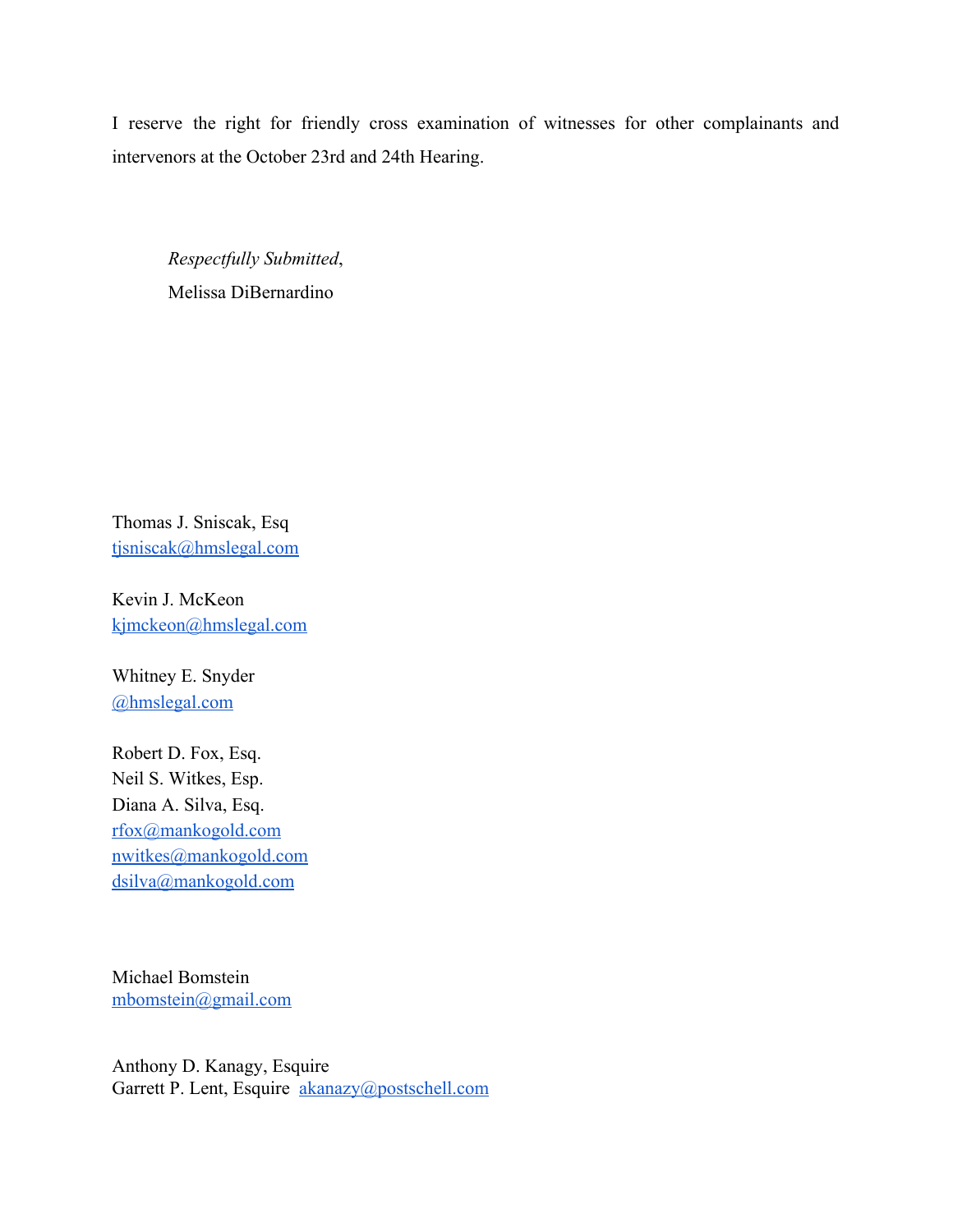I reserve the right for friendly cross examination of witnesses for other complainants and intervenors at the October 23rd and 24th Hearing.

*Respectfully Submitted*, Melissa DiBernardino

Thomas J. Sniscak, Esq [tjsniscak@hmslegal.com](mailto:tjsniscak@hmslegal.com)

Kevin J. McKeon [kjmckeon@hmslegal.com](mailto:kjmckeon@hmslegal.com)

Whitney E. Snyder [@hmslegal.com](mailto:wesnyder@hmslegal.com)

Robert D. Fox, Esq. Neil S. Witkes, Esp. Diana A. Silva, Esq. [rfox@mankogold.com](mailto:rfox@mankogold.com) [nwitkes@mankogold.com](mailto:nwitkes@mankogold.com) [dsilva@mankogold.com](mailto:dsilva@mankogold.com)

Michael Bomstein [mbomstein@gmail.com](mailto:mbomstein@gmail.com)

Anthony D. Kanagy, Esquire Garrett P. Lent, Esquire [akanazy@postschell.com](mailto:akanazy@postschell.com)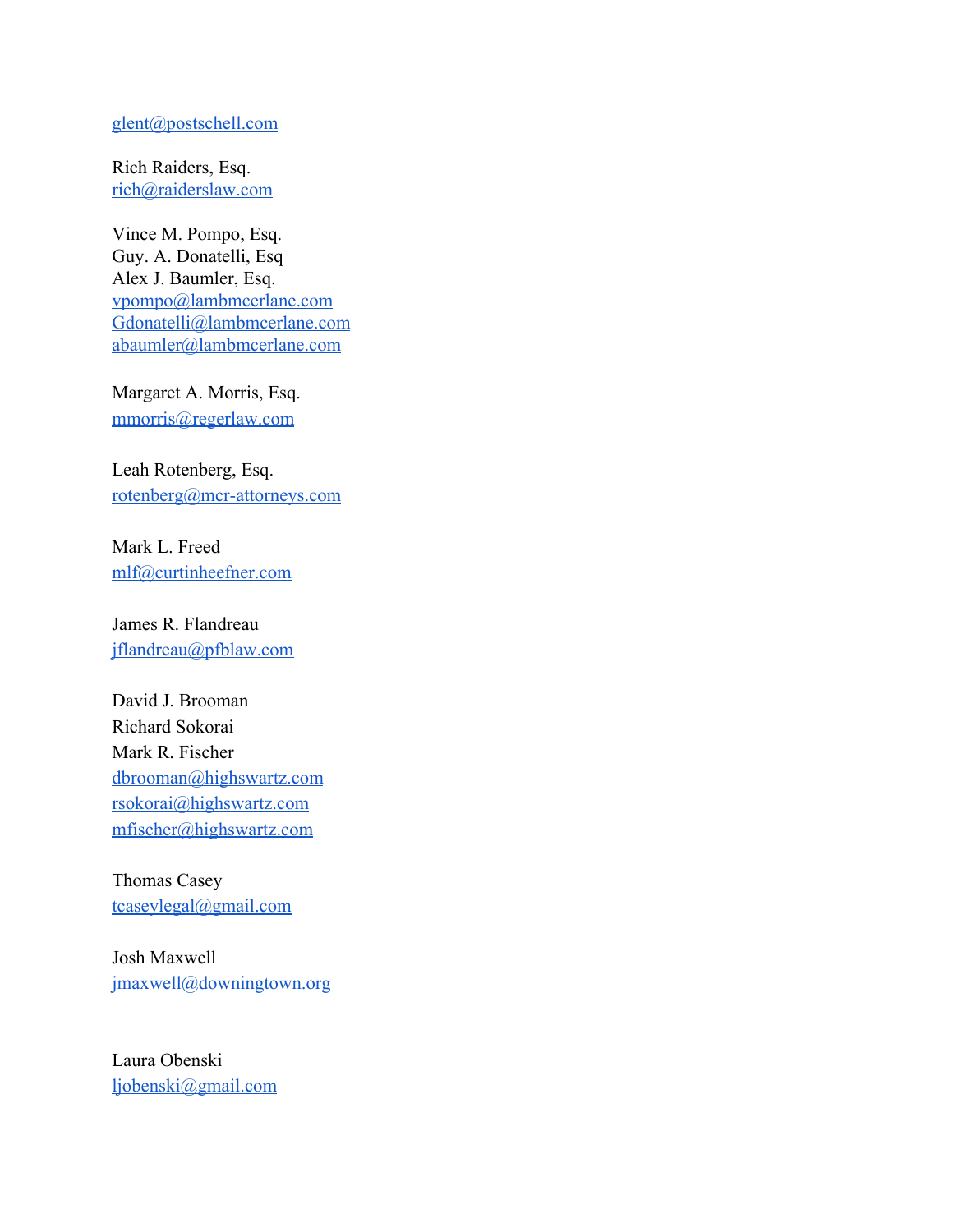#### [glent@postschell.com](mailto:glent@postschell.com)

Rich Raiders, Esq. [rich@raiderslaw.com](mailto:rich@raiderslaw.com)

Vince M. Pompo, Esq. Guy. A. Donatelli, Esq Alex J. Baumler, Esq. [vpompo@lambmcerlane.com](mailto:vpompo@lambmcerlane.com) [Gdonatelli@lambmcerlane.com](mailto:Gdonatelli@lambmcerlane.com) [abaumler@lambmcerlane.com](mailto:abaumler@lambmcerlane.com)

Margaret A. Morris, Esq. [mmorris@regerlaw.com](mailto:mmorris@regerlaw.com)

Leah Rotenberg, Esq. [rotenberg@mcr-attorneys.com](mailto:rotenberg@mcr-attorneys.com)

Mark L. Freed [mlf@curtinheefner.com](mailto:mlf@curtinheefner.com)

James R. Flandreau [jflandreau@pfblaw.com](mailto:jflandreau@pfblaw.com)

David J. Brooman Richard Sokorai Mark R. Fischer [dbrooman@highswartz.com](mailto:dbrooman@highswartz.com) [rsokorai@highswartz.com](mailto:rsokorai@highswartz.com) [mfischer@highswartz.com](mailto:mfischer@highswartz.com)

Thomas Casey [tcaseylegal@gmail.com](mailto:tcaseylegal@gmail.com)

Josh Maxwell [jmaxwell@downingtown.org](mailto:jmaxwell@downingtown.org)

Laura Obenski [ljobenski@gmail.com](mailto:ljobenski@gmail.com)